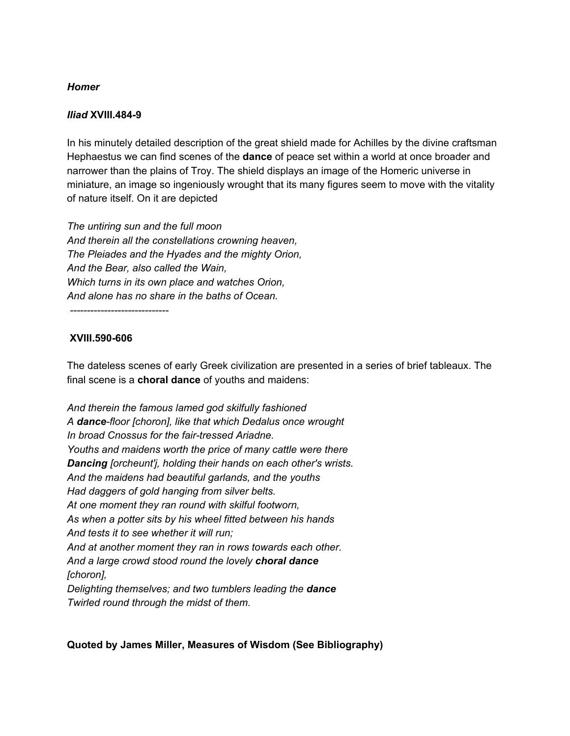## *Homer*

## *Iliad* **XVIII.484-9**

In his minutely detailed description of the great shield made for Achilles by the divine craftsman Hephaestus we can find scenes of the **dance** of peace set within a world at once broader and narrower than the plains of Troy. The shield displays an image of the Homeric universe in miniature, an image so ingeniously wrought that its many figures seem to move with the vitality of nature itself. On it are depicted

*The untiring sun and the full moon And therein all the constellations crowning heaven, The Pleiades and the Hyades and the mighty Orion, And the Bear, also called the Wain, Which turns in its own place and watches Orion, And alone has no share in the baths of Ocean.*

*-----------------------------*

## **XVIII.590-606**

The dateless scenes of early Greek civilization are presented in a series of brief tableaux. The final scene is a **choral dance** of youths and maidens:

*And therein the famous lamed god skilfully fashioned A dance-floor [choron], like that which Dedalus once wrought In broad Cnossus for the fair-tressed Ariadne. Youths and maidens worth the price of many cattle were there Dancing [orcheunt'j, holding their hands on each other's wrists. And the maidens had beautiful garlands, and the youths Had daggers of gold hanging from silver belts. At one moment they ran round with skilful footworn, As when a potter sits by his wheel fitted between his hands And tests it to see whether it will run; And at another moment they ran in rows towards each other. And a large crowd stood round the lovely choral dance [choron], Delighting themselves; and two tumblers leading the dance Twirled round through the midst of them.*

## **Quoted by James Miller, Measures of Wisdom (See Bibliography)**